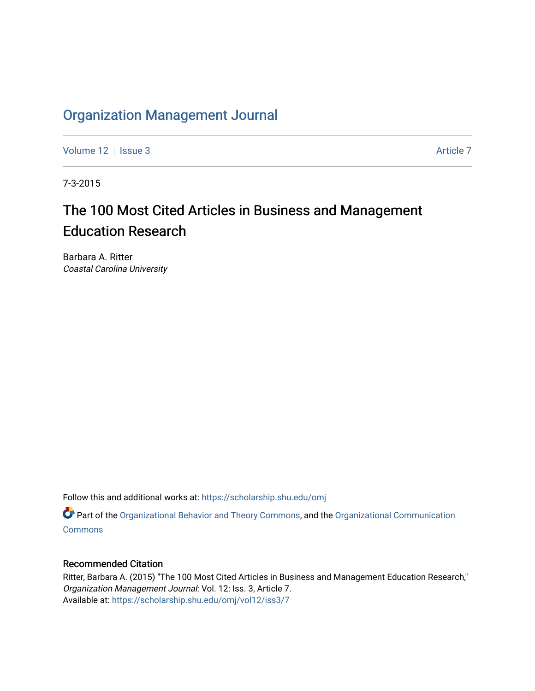# [Organization Management Journal](https://scholarship.shu.edu/omj)

[Volume 12](https://scholarship.shu.edu/omj/vol12) | [Issue 3](https://scholarship.shu.edu/omj/vol12/iss3) Article 7

7-3-2015

# The 100 Most Cited Articles in Business and Management Education Research

Barbara A. Ritter Coastal Carolina University

Follow this and additional works at: [https://scholarship.shu.edu/omj](https://scholarship.shu.edu/omj?utm_source=scholarship.shu.edu%2Fomj%2Fvol12%2Fiss3%2F7&utm_medium=PDF&utm_campaign=PDFCoverPages) 

Part of the [Organizational Behavior and Theory Commons,](http://network.bepress.com/hgg/discipline/639?utm_source=scholarship.shu.edu%2Fomj%2Fvol12%2Fiss3%2F7&utm_medium=PDF&utm_campaign=PDFCoverPages) and the [Organizational Communication](http://network.bepress.com/hgg/discipline/335?utm_source=scholarship.shu.edu%2Fomj%2Fvol12%2Fiss3%2F7&utm_medium=PDF&utm_campaign=PDFCoverPages) **[Commons](http://network.bepress.com/hgg/discipline/335?utm_source=scholarship.shu.edu%2Fomj%2Fvol12%2Fiss3%2F7&utm_medium=PDF&utm_campaign=PDFCoverPages)** 

### Recommended Citation

Ritter, Barbara A. (2015) "The 100 Most Cited Articles in Business and Management Education Research," Organization Management Journal: Vol. 12: Iss. 3, Article 7. Available at: [https://scholarship.shu.edu/omj/vol12/iss3/7](https://scholarship.shu.edu/omj/vol12/iss3/7?utm_source=scholarship.shu.edu%2Fomj%2Fvol12%2Fiss3%2F7&utm_medium=PDF&utm_campaign=PDFCoverPages)